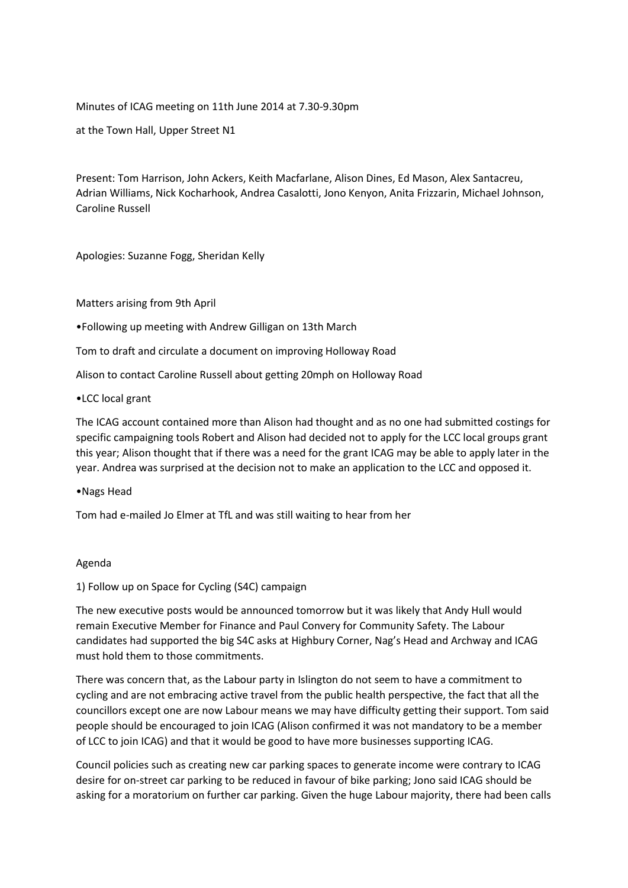# Minutes of ICAG meeting on 11th June 2014 at 7.30-9.30pm

at the Town Hall, Upper Street N1

Present: Tom Harrison, John Ackers, Keith Macfarlane, Alison Dines, Ed Mason, Alex Santacreu, Adrian Williams, Nick Kocharhook, Andrea Casalotti, Jono Kenyon, Anita Frizzarin, Michael Johnson, Caroline Russell

Apologies: Suzanne Fogg, Sheridan Kelly

Matters arising from 9th April

•Following up meeting with Andrew Gilligan on 13th March

Tom to draft and circulate a document on improving Holloway Road

Alison to contact Caroline Russell about getting 20mph on Holloway Road

#### •LCC local grant

The ICAG account contained more than Alison had thought and as no one had submitted costings for specific campaigning tools Robert and Alison had decided not to apply for the LCC local groups grant this year; Alison thought that if there was a need for the grant ICAG may be able to apply later in the year. Andrea was surprised at the decision not to make an application to the LCC and opposed it.

#### •Nags Head

Tom had e-mailed Jo Elmer at TfL and was still waiting to hear from her

#### Agenda

1) Follow up on Space for Cycling (S4C) campaign

The new executive posts would be announced tomorrow but it was likely that Andy Hull would remain Executive Member for Finance and Paul Convery for Community Safety. The Labour candidates had supported the big S4C asks at Highbury Corner, Nag's Head and Archway and ICAG must hold them to those commitments.

There was concern that, as the Labour party in Islington do not seem to have a commitment to cycling and are not embracing active travel from the public health perspective, the fact that all the councillors except one are now Labour means we may have difficulty getting their support. Tom said people should be encouraged to join ICAG (Alison confirmed it was not mandatory to be a member of LCC to join ICAG) and that it would be good to have more businesses supporting ICAG.

Council policies such as creating new car parking spaces to generate income were contrary to ICAG desire for on-street car parking to be reduced in favour of bike parking; Jono said ICAG should be asking for a moratorium on further car parking. Given the huge Labour majority, there had been calls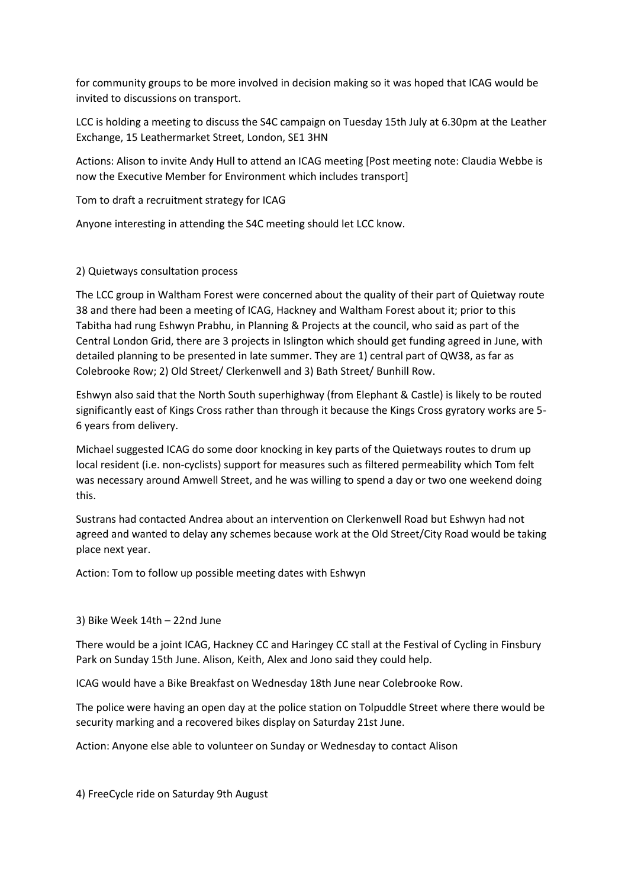for community groups to be more involved in decision making so it was hoped that ICAG would be invited to discussions on transport.

LCC is holding a meeting to discuss the S4C campaign on Tuesday 15th July at 6.30pm at the Leather Exchange, 15 Leathermarket Street, London, SE1 3HN

Actions: Alison to invite Andy Hull to attend an ICAG meeting [Post meeting note: Claudia Webbe is now the Executive Member for Environment which includes transport]

Tom to draft a recruitment strategy for ICAG

Anyone interesting in attending the S4C meeting should let LCC know.

# 2) Quietways consultation process

The LCC group in Waltham Forest were concerned about the quality of their part of Quietway route 38 and there had been a meeting of ICAG, Hackney and Waltham Forest about it; prior to this Tabitha had rung Eshwyn Prabhu, in Planning & Projects at the council, who said as part of the Central London Grid, there are 3 projects in Islington which should get funding agreed in June, with detailed planning to be presented in late summer. They are 1) central part of QW38, as far as Colebrooke Row; 2) Old Street/ Clerkenwell and 3) Bath Street/ Bunhill Row.

Eshwyn also said that the North South superhighway (from Elephant & Castle) is likely to be routed significantly east of Kings Cross rather than through it because the Kings Cross gyratory works are 5- 6 years from delivery.

Michael suggested ICAG do some door knocking in key parts of the Quietways routes to drum up local resident (i.e. non-cyclists) support for measures such as filtered permeability which Tom felt was necessary around Amwell Street, and he was willing to spend a day or two one weekend doing this.

Sustrans had contacted Andrea about an intervention on Clerkenwell Road but Eshwyn had not agreed and wanted to delay any schemes because work at the Old Street/City Road would be taking place next year.

Action: Tom to follow up possible meeting dates with Eshwyn

### 3) Bike Week 14th – 22nd June

There would be a joint ICAG, Hackney CC and Haringey CC stall at the Festival of Cycling in Finsbury Park on Sunday 15th June. Alison, Keith, Alex and Jono said they could help.

ICAG would have a Bike Breakfast on Wednesday 18th June near Colebrooke Row.

The police were having an open day at the police station on Tolpuddle Street where there would be security marking and a recovered bikes display on Saturday 21st June.

Action: Anyone else able to volunteer on Sunday or Wednesday to contact Alison

4) FreeCycle ride on Saturday 9th August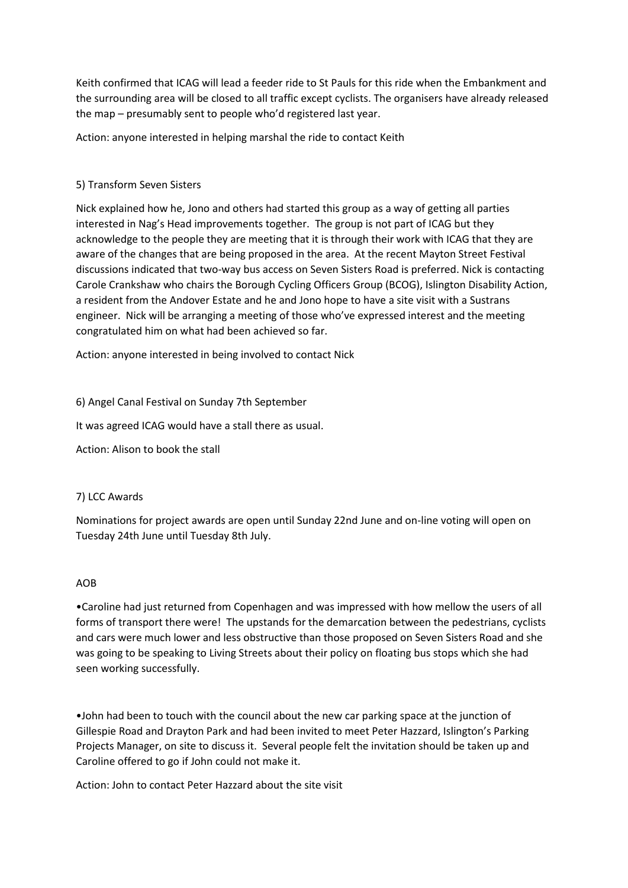Keith confirmed that ICAG will lead a feeder ride to St Pauls for this ride when the Embankment and the surrounding area will be closed to all traffic except cyclists. The organisers have already released the map – presumably sent to people who'd registered last year.

Action: anyone interested in helping marshal the ride to contact Keith

# 5) Transform Seven Sisters

Nick explained how he, Jono and others had started this group as a way of getting all parties interested in Nag's Head improvements together. The group is not part of ICAG but they acknowledge to the people they are meeting that it is through their work with ICAG that they are aware of the changes that are being proposed in the area. At the recent Mayton Street Festival discussions indicated that two-way bus access on Seven Sisters Road is preferred. Nick is contacting Carole Crankshaw who chairs the Borough Cycling Officers Group (BCOG), Islington Disability Action, a resident from the Andover Estate and he and Jono hope to have a site visit with a Sustrans engineer. Nick will be arranging a meeting of those who've expressed interest and the meeting congratulated him on what had been achieved so far.

Action: anyone interested in being involved to contact Nick

# 6) Angel Canal Festival on Sunday 7th September

It was agreed ICAG would have a stall there as usual.

Action: Alison to book the stall

### 7) LCC Awards

Nominations for project awards are open until Sunday 22nd June and on-line voting will open on Tuesday 24th June until Tuesday 8th July.

### AOB

•Caroline had just returned from Copenhagen and was impressed with how mellow the users of all forms of transport there were! The upstands for the demarcation between the pedestrians, cyclists and cars were much lower and less obstructive than those proposed on Seven Sisters Road and she was going to be speaking to Living Streets about their policy on floating bus stops which she had seen working successfully.

•John had been to touch with the council about the new car parking space at the junction of Gillespie Road and Drayton Park and had been invited to meet Peter Hazzard, Islington's Parking Projects Manager, on site to discuss it. Several people felt the invitation should be taken up and Caroline offered to go if John could not make it.

Action: John to contact Peter Hazzard about the site visit